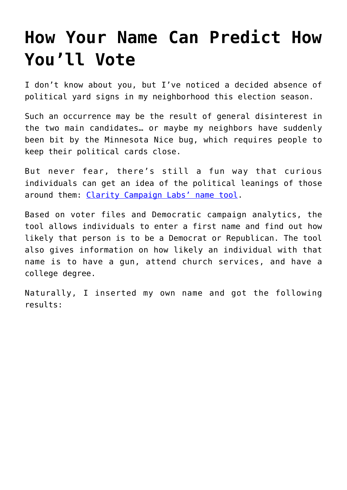## **[How Your Name Can Predict How](https://intellectualtakeout.org/2016/10/how-your-name-can-predict-how-youll-vote/) [You'll Vote](https://intellectualtakeout.org/2016/10/how-your-name-can-predict-how-youll-vote/)**

I don't know about you, but I've noticed a decided absence of political yard signs in my neighborhood this election season.

Such an occurrence may be the result of general disinterest in the two main candidates… or maybe my neighbors have suddenly been bit by the Minnesota Nice bug, which requires people to keep their political cards close.

But never fear, there's still a fun way that curious individuals can get an idea of the political leanings of those around them: [Clarity Campaign Labs' name tool](http://www.claritycampaigns.com/names).

Based on voter files and Democratic campaign analytics, the tool allows individuals to enter a first name and find out how likely that person is to be a Democrat or Republican. The tool also gives information on how likely an individual with that name is to have a gun, attend church services, and have a college degree.

Naturally, I inserted my own name and got the following results: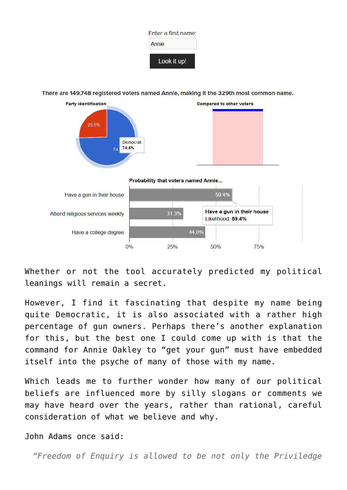

There are 149.748 registered voters named Annie, making it the 329th most common name.



Whether or not the tool accurately predicted my political leanings will remain a secret.

However, I find it fascinating that despite my name being quite Democratic, it is also associated with a rather high percentage of gun owners. Perhaps there's another explanation for this, but the best one I could come up with is that the command for Annie Oakley to "get your gun" must have embedded itself into the psyche of many of those with my name.

Which leads me to further wonder how many of our political beliefs are influenced more by silly slogans or comments we may have heard over the years, rather than rational, careful consideration of what we believe and why.

John Adams once said:

*"Freedom of Enquiry is allowed to be not only the Priviledge*